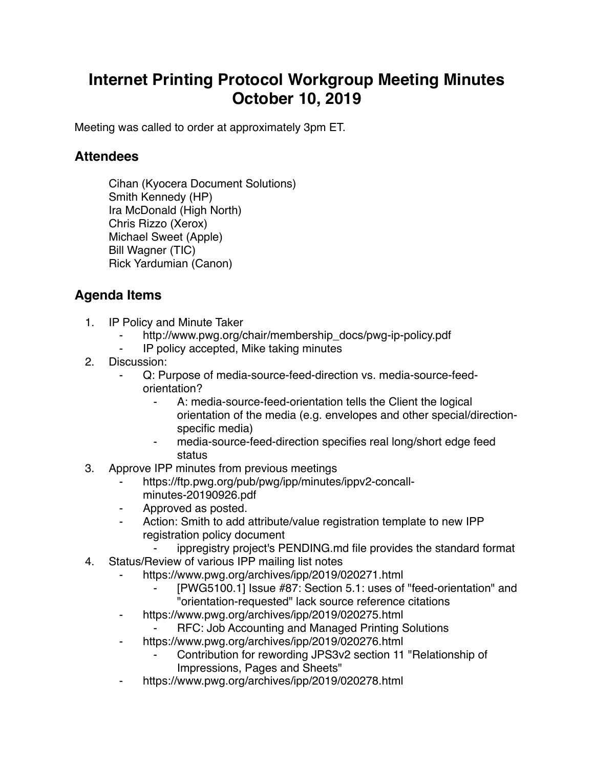## **Internet Printing Protocol Workgroup Meeting Minutes October 10, 2019**

Meeting was called to order at approximately 3pm ET.

## **Attendees**

Cihan (Kyocera Document Solutions) Smith Kennedy (HP) Ira McDonald (High North) Chris Rizzo (Xerox) Michael Sweet (Apple) Bill Wagner (TIC) Rick Yardumian (Canon)

## **Agenda Items**

- 1. IP Policy and Minute Taker
	- http://www.pwg.org/chair/membership\_docs/pwg-ip-policy.pdf
	- ⁃ IP policy accepted, Mike taking minutes
- 2. Discussion:
	- Q: Purpose of media-source-feed-direction vs. media-source-feedorientation?
		- ⁃ A: media-source-feed-orientation tells the Client the logical orientation of the media (e.g. envelopes and other special/directionspecific media)
		- media-source-feed-direction specifies real long/short edge feed status
- 3. Approve IPP minutes from previous meetings
	- https://ftp.pwg.org/pub/pwg/ipp/minutes/ippv2-concall-
	- minutes-20190926.pdf
	- ⁃ Approved as posted.
	- Action: Smith to add attribute/value registration template to new IPP registration policy document
		- ippregistry project's PENDING md file provides the standard format
- 4. Status/Review of various IPP mailing list notes
	- https://www.pwg.org/archives/ipp/2019/020271.html
		- [PWG5100.1] Issue #87: Section 5.1: uses of "feed-orientation" and "orientation-requested" lack source reference citations
	- ⁃ https://www.pwg.org/archives/ipp/2019/020275.html
		- ⁃ RFC: Job Accounting and Managed Printing Solutions
	- ⁃ https://www.pwg.org/archives/ipp/2019/020276.html
		- Contribution for rewording JPS3v2 section 11 "Relationship of Impressions, Pages and Sheets"
	- ⁃ https://www.pwg.org/archives/ipp/2019/020278.html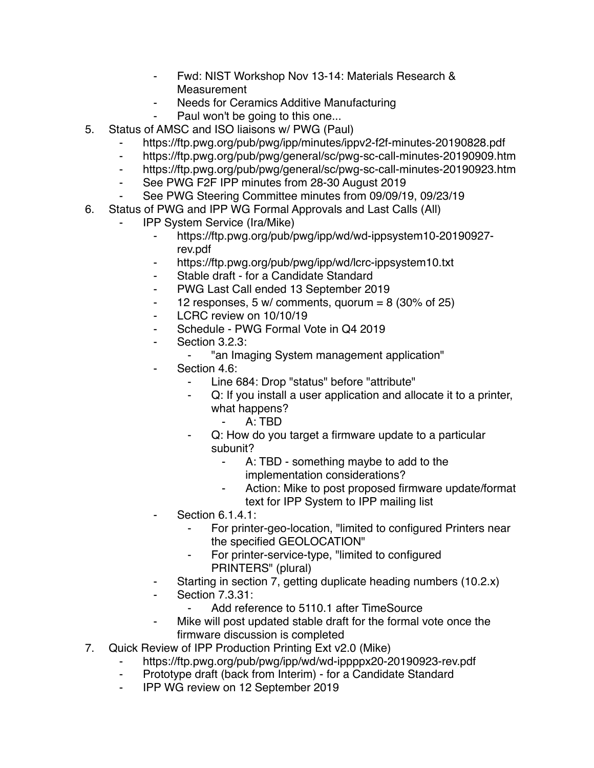- ⁃ Fwd: NIST Workshop Nov 13-14: Materials Research & Measurement
- Needs for Ceramics Additive Manufacturing
	- Paul won't be going to this one...
- 5. Status of AMSC and ISO liaisons w/ PWG (Paul)
	- https://ftp.pwg.org/pub/pwg/ipp/minutes/ippv2-f2f-minutes-20190828.pdf
	- ⁃ https://ftp.pwg.org/pub/pwg/general/sc/pwg-sc-call-minutes-20190909.htm
	- ⁃ https://ftp.pwg.org/pub/pwg/general/sc/pwg-sc-call-minutes-20190923.htm
	- ⁃ See PWG F2F IPP minutes from 28-30 August 2019
	- See PWG Steering Committee minutes from 09/09/19, 09/23/19
- 6. Status of PWG and IPP WG Formal Approvals and Last Calls (All)
	- ⁃ IPP System Service (Ira/Mike)
		- ⁃ https://ftp.pwg.org/pub/pwg/ipp/wd/wd-ippsystem10-20190927 rev.pdf
		- ⁃ https://ftp.pwg.org/pub/pwg/ipp/wd/lcrc-ippsystem10.txt
		- Stable draft for a Candidate Standard
		- ⁃ PWG Last Call ended 13 September 2019
		- $\sim$  12 responses, 5 w/ comments, quorum = 8 (30% of 25)
		- LCRC review on 10/10/19
		- ⁃ Schedule PWG Formal Vote in Q4 2019
		- Section 3.2.3:
			- ⁃ "an Imaging System management application"
		- Section 4.6:
			- Line 684: Drop "status" before "attribute"
			- Q: If you install a user application and allocate it to a printer, what happens?
				- ⁃ A: TBD
			- Q: How do you target a firmware update to a particular subunit?
				- A: TBD something maybe to add to the implementation considerations?
				- Action: Mike to post proposed firmware update/format text for IPP System to IPP mailing list
		- Section 6.1.4.1:
			- For printer-geo-location, "limited to configured Printers near the specified GEOLOCATION"
			- ⁃ For printer-service-type, "limited to configured PRINTERS" (plural)
		- Starting in section 7, getting duplicate heading numbers (10.2.x)
		- **Section 7.3.31:** 
			- Add reference to 5110.1 after TimeSource
		- Mike will post updated stable draft for the formal vote once the firmware discussion is completed
- 7. Quick Review of IPP Production Printing Ext v2.0 (Mike)
	- https://ftp.pwg.org/pub/pwg/ipp/wd/wd-ippppx20-20190923-rev.pdf
	- ⁃ Prototype draft (back from Interim) for a Candidate Standard
	- ⁃ IPP WG review on 12 September 2019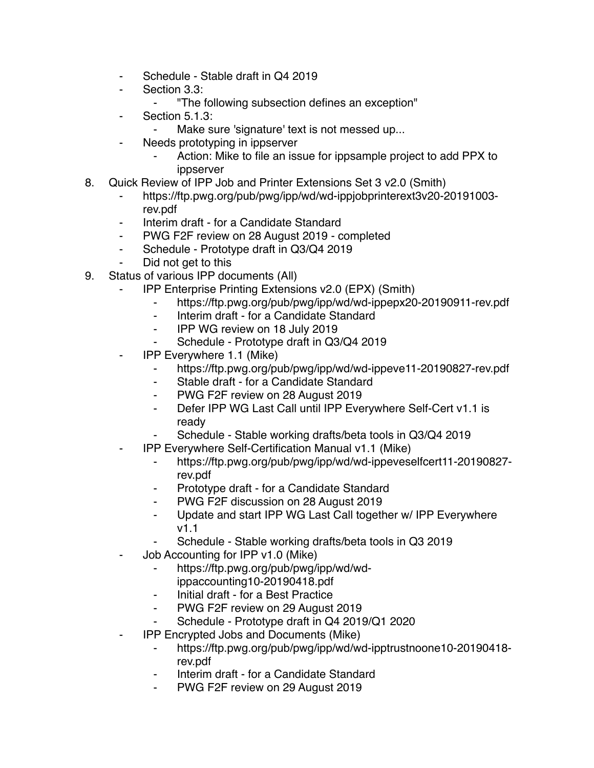- Schedule Stable draft in Q4 2019
- Section 3.3:
	- ⁃ "The following subsection defines an exception"
- ⁃ Section 5.1.3:
	- Make sure 'signature' text is not messed up...
- Needs prototyping in ippserver
	- ⁃ Action: Mike to file an issue for ippsample project to add PPX to ippserver
- 8. Quick Review of IPP Job and Printer Extensions Set 3 v2.0 (Smith)
	- ⁃ https://ftp.pwg.org/pub/pwg/ipp/wd/wd-ippjobprinterext3v20-20191003 rev.pdf
	- ⁃ Interim draft for a Candidate Standard
	- ⁃ PWG F2F review on 28 August 2019 completed
	- ⁃ Schedule Prototype draft in Q3/Q4 2019
	- Did not get to this
- 9. Status of various IPP documents (All)
	- IPP Enterprise Printing Extensions v2.0 (EPX) (Smith)
		- https://ftp.pwg.org/pub/pwg/ipp/wd/wd-ippepx20-20190911-rev.pdf
		- ⁃ Interim draft for a Candidate Standard
		- ⁃ IPP WG review on 18 July 2019
		- Schedule Prototype draft in Q3/Q4 2019
	- ⁃ IPP Everywhere 1.1 (Mike)
		- https://ftp.pwg.org/pub/pwg/ipp/wd/wd-ippeve11-20190827-rev.pdf
		- ⁃ Stable draft for a Candidate Standard
		- ⁃ PWG F2F review on 28 August 2019
		- ⁃ Defer IPP WG Last Call until IPP Everywhere Self-Cert v1.1 is ready
		- Schedule Stable working drafts/beta tools in Q3/Q4 2019
	- ⁃ IPP Everywhere Self-Certification Manual v1.1 (Mike)
		- ⁃ https://ftp.pwg.org/pub/pwg/ipp/wd/wd-ippeveselfcert11-20190827 rev.pdf
		- ⁃ Prototype draft for a Candidate Standard
		- PWG F2F discussion on 28 August 2019
		- ⁃ Update and start IPP WG Last Call together w/ IPP Everywhere v1.1
		- Schedule Stable working drafts/beta tools in Q3 2019
	- Job Accounting for IPP v1.0 (Mike)
		- ⁃ https://ftp.pwg.org/pub/pwg/ipp/wd/wdippaccounting10-20190418.pdf
		- ⁃ Initial draft for a Best Practice
		- ⁃ PWG F2F review on 29 August 2019
		- ⁃ Schedule Prototype draft in Q4 2019/Q1 2020
	- ⁃ IPP Encrypted Jobs and Documents (Mike)
		- ⁃ https://ftp.pwg.org/pub/pwg/ipp/wd/wd-ipptrustnoone10-20190418 rev.pdf
		- Interim draft for a Candidate Standard
		- ⁃ PWG F2F review on 29 August 2019